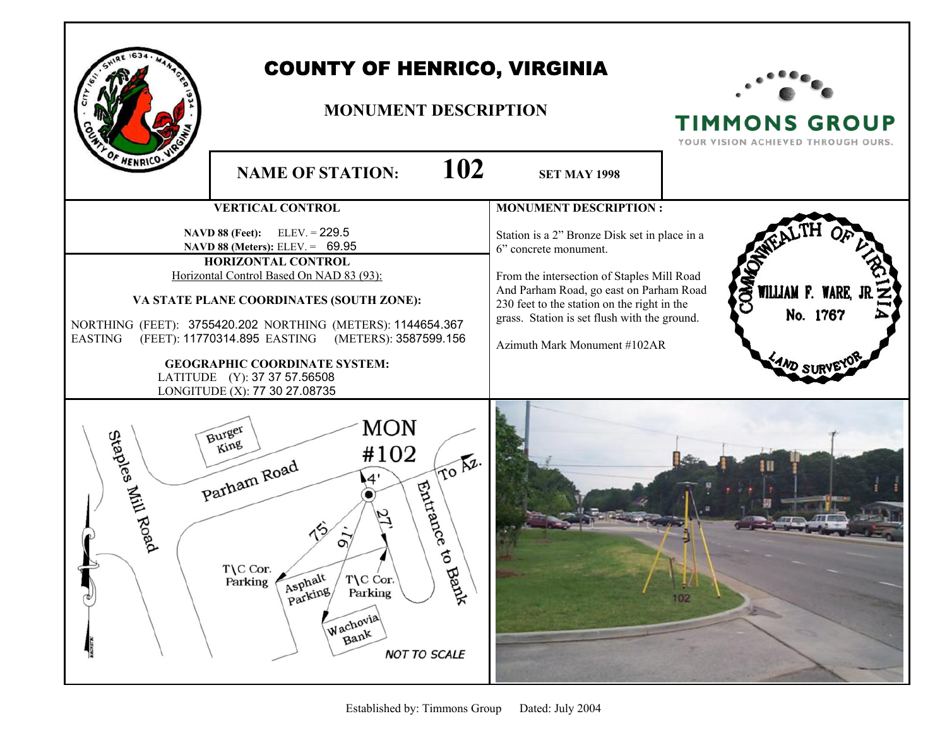

## COUNTY OF HENRICO, VIRGINIA

## **MONUMENT DESCRIPTION**



**TIMMONS GROUP** YOUR VISION ACHIEVED THROUGH OURS.

**NAME OF STATION: 102 SET MAY 1998 VERTICAL CONTROL MONUMENT DESCRIPTION : NAVD 88 (Feet):** ELEV. = 229.5 Station is a 2" Bronze Disk set in place in a  **NAVD 88 (Meters):** ELEV. = 69.95 6" concrete monument. **HORIZONTAL CONTROL** Horizontal Control Based On NAD 83 (93): From the intersection of Staples Mill Road And Parham Road, go east on Parham Road **WILLIAM F. VA STATE PLANE COORDINATES (SOUTH ZONE):**  230 feet to the station on the right in the No. 1767 grass. Station is set flush with the ground. NORTHING (FEET): 3755420.202 NORTHING (METERS): 1144654.367 EASTING (FEET): 11770314.895 EASTING (METERS): 3587599.156 Azimuth Mark Monument #102AR **GEOGRAPHIC COORDINATE SYSTEM:**  LATITUDE (Y): 37 37 57.56508 LONGITUDE (X): 77 30 27.08735 **MON** Staples Mill Road **Burger** King #102 To Az. Parham Road  $4'$ Entrance ⋒  $\circ$ s to Bank T\C Cor. Asphalt T\C Cor. Parking Asplicing Parking Wachovia Bank **NOT TO SCALE**